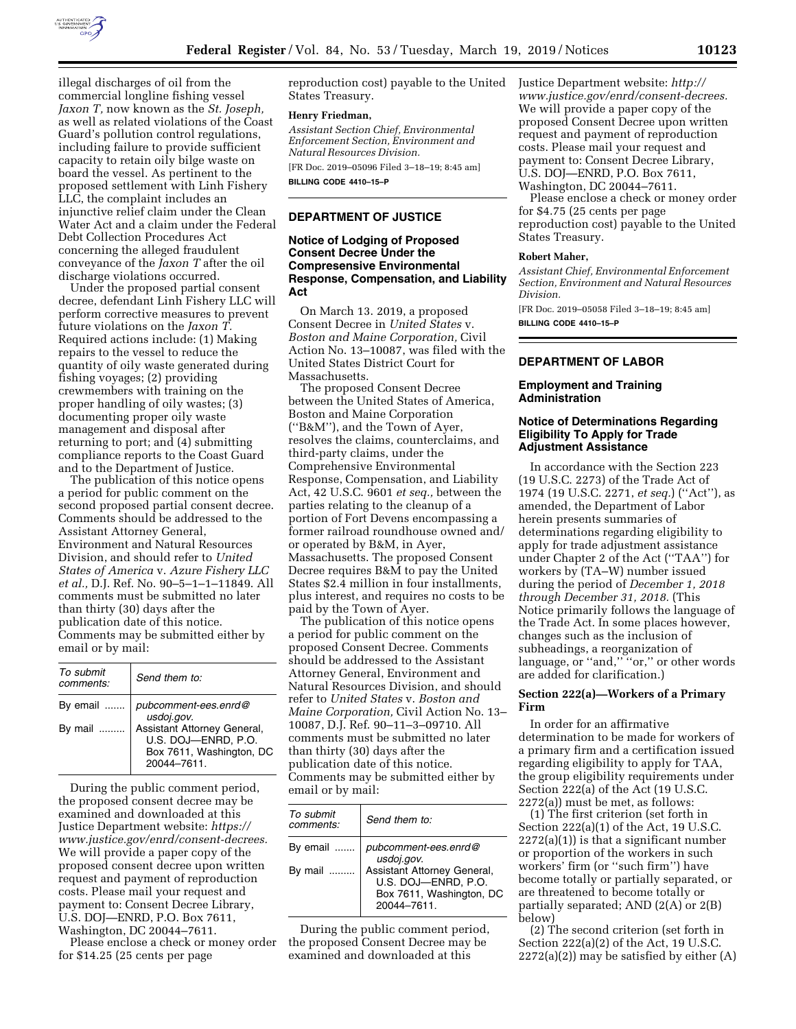

illegal discharges of oil from the commercial longline fishing vessel *Jaxon T,* now known as the *St. Joseph,*  as well as related violations of the Coast Guard's pollution control regulations, including failure to provide sufficient capacity to retain oily bilge waste on board the vessel. As pertinent to the proposed settlement with Linh Fishery LLC, the complaint includes an injunctive relief claim under the Clean Water Act and a claim under the Federal Debt Collection Procedures Act concerning the alleged fraudulent conveyance of the *Jaxon T* after the oil discharge violations occurred.

Under the proposed partial consent decree, defendant Linh Fishery LLC will perform corrective measures to prevent future violations on the *Jaxon T.*  Required actions include: (1) Making repairs to the vessel to reduce the quantity of oily waste generated during fishing voyages; (2) providing crewmembers with training on the proper handling of oily wastes; (3) documenting proper oily waste management and disposal after returning to port; and (4) submitting compliance reports to the Coast Guard and to the Department of Justice.

The publication of this notice opens a period for public comment on the second proposed partial consent decree. Comments should be addressed to the Assistant Attorney General, Environment and Natural Resources Division, and should refer to *United States of America* v. *Azure Fishery LLC et al.,* D.J. Ref. No. 90–5–1–1–11849. All comments must be submitted no later than thirty (30) days after the publication date of this notice. Comments may be submitted either by email or by mail:

| To submit<br>comments: | Send them to:                                                                            |
|------------------------|------------------------------------------------------------------------------------------|
| By email<br>By mail    | pubcomment-ees.enrd@<br>usdoj.gov.<br>Assistant Attorney General,<br>U.S. DOJ-ENRD, P.O. |
|                        | Box 7611, Washington, DC<br>20044-7611                                                   |

During the public comment period, the proposed consent decree may be examined and downloaded at this Justice Department website: *[https://](https://www.justice.gov/enrd/consent-decrees) [www.justice.gov/enrd/consent-decrees.](https://www.justice.gov/enrd/consent-decrees)*  We will provide a paper copy of the proposed consent decree upon written request and payment of reproduction costs. Please mail your request and payment to: Consent Decree Library, U.S. DOJ—ENRD, P.O. Box 7611, Washington, DC 20044–7611.

Please enclose a check or money order for \$14.25 (25 cents per page

reproduction cost) payable to the United States Treasury.

#### **Henry Friedman,**

*Assistant Section Chief, Environmental Enforcement Section, Environment and Natural Resources Division.* 

[FR Doc. 2019–05096 Filed 3–18–19; 8:45 am] **BILLING CODE 4410–15–P** 

## **DEPARTMENT OF JUSTICE**

# **Notice of Lodging of Proposed Consent Decree Under the Compresensive Environmental Response, Compensation, and Liability Act**

On March 13. 2019, a proposed Consent Decree in *United States* v. *Boston and Maine Corporation,* Civil Action No. 13–10087, was filed with the United States District Court for Massachusetts.

The proposed Consent Decree between the United States of America, Boston and Maine Corporation (''B&M''), and the Town of Ayer, resolves the claims, counterclaims, and third-party claims, under the Comprehensive Environmental Response, Compensation, and Liability Act, 42 U.S.C. 9601 *et seq.,* between the parties relating to the cleanup of a portion of Fort Devens encompassing a former railroad roundhouse owned and/ or operated by B&M, in Ayer, Massachusetts. The proposed Consent Decree requires B&M to pay the United States \$2.4 million in four installments, plus interest, and requires no costs to be paid by the Town of Ayer.

The publication of this notice opens a period for public comment on the proposed Consent Decree. Comments should be addressed to the Assistant Attorney General, Environment and Natural Resources Division, and should refer to *United States* v. *Boston and Maine Corporation,* Civil Action No. 13– 10087, D.J. Ref. 90–11–3–09710. All comments must be submitted no later than thirty (30) days after the publication date of this notice. Comments may be submitted either by email or by mail:

| To submit<br>comments: | Send them to:                                                                                                                      |
|------------------------|------------------------------------------------------------------------------------------------------------------------------------|
| By email<br>By mail    | pubcomment-ees.enrd@<br>usdoj.gov.<br>Assistant Attorney General,<br>U.S. DOJ-ENRD, P.O.<br>Box 7611, Washington, DC<br>20044-7611 |

During the public comment period, the proposed Consent Decree may be examined and downloaded at this

Justice Department website: *[http://](http://www.justice.gov/enrd/consent-decrees) [www.justice.gov/enrd/consent-decrees.](http://www.justice.gov/enrd/consent-decrees)*  We will provide a paper copy of the proposed Consent Decree upon written request and payment of reproduction costs. Please mail your request and payment to: Consent Decree Library, U.S. DOJ—ENRD, P.O. Box 7611, Washington, DC 20044–7611.

Please enclose a check or money order for \$4.75 (25 cents per page reproduction cost) payable to the United States Treasury.

## **Robert Maher,**

*Assistant Chief, Environmental Enforcement Section, Environment and Natural Resources Division.* 

[FR Doc. 2019–05058 Filed 3–18–19; 8:45 am] **BILLING CODE 4410–15–P** 

#### **DEPARTMENT OF LABOR**

# **Employment and Training Administration**

## **Notice of Determinations Regarding Eligibility To Apply for Trade Adjustment Assistance**

In accordance with the Section 223 (19 U.S.C. 2273) of the Trade Act of 1974 (19 U.S.C. 2271, *et seq.*) (''Act''), as amended, the Department of Labor herein presents summaries of determinations regarding eligibility to apply for trade adjustment assistance under Chapter 2 of the Act (''TAA'') for workers by (TA–W) number issued during the period of *December 1, 2018 through December 31, 2018.* (This Notice primarily follows the language of the Trade Act. In some places however, changes such as the inclusion of subheadings, a reorganization of language, or ''and,'' ''or,'' or other words are added for clarification.)

#### **Section 222(a)—Workers of a Primary Firm**

In order for an affirmative determination to be made for workers of a primary firm and a certification issued regarding eligibility to apply for TAA, the group eligibility requirements under Section 222(a) of the Act (19 U.S.C. 2272(a)) must be met, as follows:

(1) The first criterion (set forth in Section 222(a)(1) of the Act, 19 U.S.C. 2272(a)(1)) is that a significant number or proportion of the workers in such workers' firm (or ''such firm'') have become totally or partially separated, or are threatened to become totally or partially separated; AND (2(A) or 2(B) below)

(2) The second criterion (set forth in Section 222(a)(2) of the Act, 19 U.S.C.  $2272(a)(2)$  may be satisfied by either  $(A)$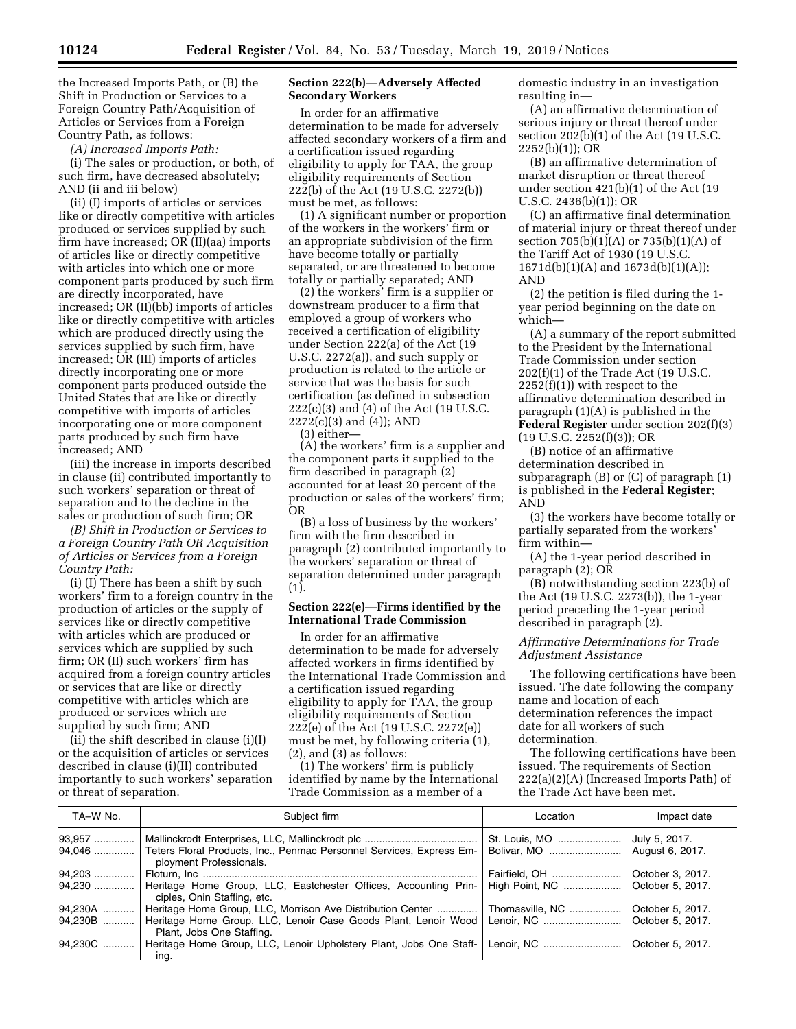the Increased Imports Path, or (B) the Shift in Production or Services to a Foreign Country Path/Acquisition of Articles or Services from a Foreign Country Path, as follows:

*(A) Increased Imports Path:* 

(i) The sales or production, or both, of such firm, have decreased absolutely; AND (ii and iii below)

(ii) (I) imports of articles or services like or directly competitive with articles produced or services supplied by such firm have increased; OR (II)(aa) imports of articles like or directly competitive with articles into which one or more component parts produced by such firm are directly incorporated, have increased; OR (II)(bb) imports of articles like or directly competitive with articles which are produced directly using the services supplied by such firm, have increased; OR (III) imports of articles directly incorporating one or more component parts produced outside the United States that are like or directly competitive with imports of articles incorporating one or more component parts produced by such firm have increased; AND

(iii) the increase in imports described in clause (ii) contributed importantly to such workers' separation or threat of separation and to the decline in the sales or production of such firm; OR

*(B) Shift in Production or Services to a Foreign Country Path OR Acquisition of Articles or Services from a Foreign Country Path:* 

(i) (I) There has been a shift by such workers' firm to a foreign country in the production of articles or the supply of services like or directly competitive with articles which are produced or services which are supplied by such firm; OR (II) such workers' firm has acquired from a foreign country articles or services that are like or directly competitive with articles which are produced or services which are supplied by such firm; AND

(ii) the shift described in clause (i)(I) or the acquisition of articles or services described in clause (i)(II) contributed importantly to such workers' separation or threat of separation.

#### **Section 222(b)—Adversely Affected Secondary Workers**

In order for an affirmative determination to be made for adversely affected secondary workers of a firm and a certification issued regarding eligibility to apply for TAA, the group eligibility requirements of Section 222(b) of the Act (19 U.S.C. 2272(b)) must be met, as follows:

(1) A significant number or proportion of the workers in the workers' firm or an appropriate subdivision of the firm have become totally or partially separated, or are threatened to become totally or partially separated; AND

(2) the workers' firm is a supplier or downstream producer to a firm that employed a group of workers who received a certification of eligibility under Section 222(a) of the Act (19 U.S.C. 2272(a)), and such supply or production is related to the article or service that was the basis for such certification (as defined in subsection 222(c)(3) and (4) of the Act (19 U.S.C. 2272(c)(3) and (4)); AND

(3) either—

(A) the workers' firm is a supplier and the component parts it supplied to the firm described in paragraph (2) accounted for at least 20 percent of the production or sales of the workers' firm; OR

(B) a loss of business by the workers' firm with the firm described in paragraph (2) contributed importantly to the workers' separation or threat of separation determined under paragraph (1).

# **Section 222(e)—Firms identified by the International Trade Commission**

In order for an affirmative determination to be made for adversely affected workers in firms identified by the International Trade Commission and a certification issued regarding eligibility to apply for TAA, the group eligibility requirements of Section 222(e) of the Act (19 U.S.C. 2272(e)) must be met, by following criteria (1), (2), and (3) as follows:

(1) The workers' firm is publicly identified by name by the International Trade Commission as a member of a

domestic industry in an investigation resulting in—

(A) an affirmative determination of serious injury or threat thereof under section 202(b)(1) of the Act (19 U.S.C. 2252(b)(1)); OR

(B) an affirmative determination of market disruption or threat thereof under section 421(b)(1) of the Act (19 U.S.C. 2436(b)(1)); OR

(C) an affirmative final determination of material injury or threat thereof under section 705(b)(1)(A) or 735(b)(1)(A) of the Tariff Act of 1930 (19 U.S.C. 1671d(b)(1)(A) and 1673d(b)(1)(A)); AND

(2) the petition is filed during the 1 year period beginning on the date on which—

(A) a summary of the report submitted to the President by the International Trade Commission under section 202(f)(1) of the Trade Act (19 U.S.C.  $2252(f)(1)$ ) with respect to the affirmative determination described in paragraph (1)(A) is published in the **Federal Register** under section 202(f)(3)  $(19 \text{ U.S.C. } 2252(f)(3))$ ; OR

(B) notice of an affirmative determination described in subparagraph (B) or (C) of paragraph (1) is published in the **Federal Register**; AND

(3) the workers have become totally or partially separated from the workers' firm within—

(A) the 1-year period described in paragraph (2); OR

(B) notwithstanding section 223(b) of the Act (19 U.S.C. 2273(b)), the 1-year period preceding the 1-year period described in paragraph (2).

*Affirmative Determinations for Trade Adjustment Assistance* 

The following certifications have been issued. The date following the company name and location of each determination references the impact date for all workers of such determination.

The following certifications have been issued. The requirements of Section 222(a)(2)(A) (Increased Imports Path) of the Trade Act have been met.

| TA-W No.           | Subject firm                                                                                                                                                | Location                        | Impact date                          |
|--------------------|-------------------------------------------------------------------------------------------------------------------------------------------------------------|---------------------------------|--------------------------------------|
| 93,957             | Teters Floral Products, Inc., Penmac Personnel Services, Express Em-                                                                                        | St. Louis, MO<br>Bolivar, MO    | July 5, 2017.<br>August 6, 2017.     |
| $94.203$<br>94,230 | ployment Professionals.<br>Heritage Home Group, LLC, Eastchester Offices, Accounting Prin-                                                                  | Fairfield, OH<br>High Point, NC | October 3, 2017.<br>October 5, 2017. |
| 94,230A<br>94,230B | ciples, Onin Staffing, etc.<br>Heritage Home Group, LLC, Morrison Ave Distribution Center<br>Heritage Home Group, LLC, Lenoir Case Goods Plant, Lenoir Wood | Thomasville, NC                 | October 5, 2017.<br>October 5, 2017. |
| 94,230C            | Plant, Jobs One Staffing.<br>Heritage Home Group, LLC, Lenoir Upholstery Plant, Jobs One Staff-                                                             |                                 | October 5, 2017.                     |
|                    | ina.                                                                                                                                                        |                                 |                                      |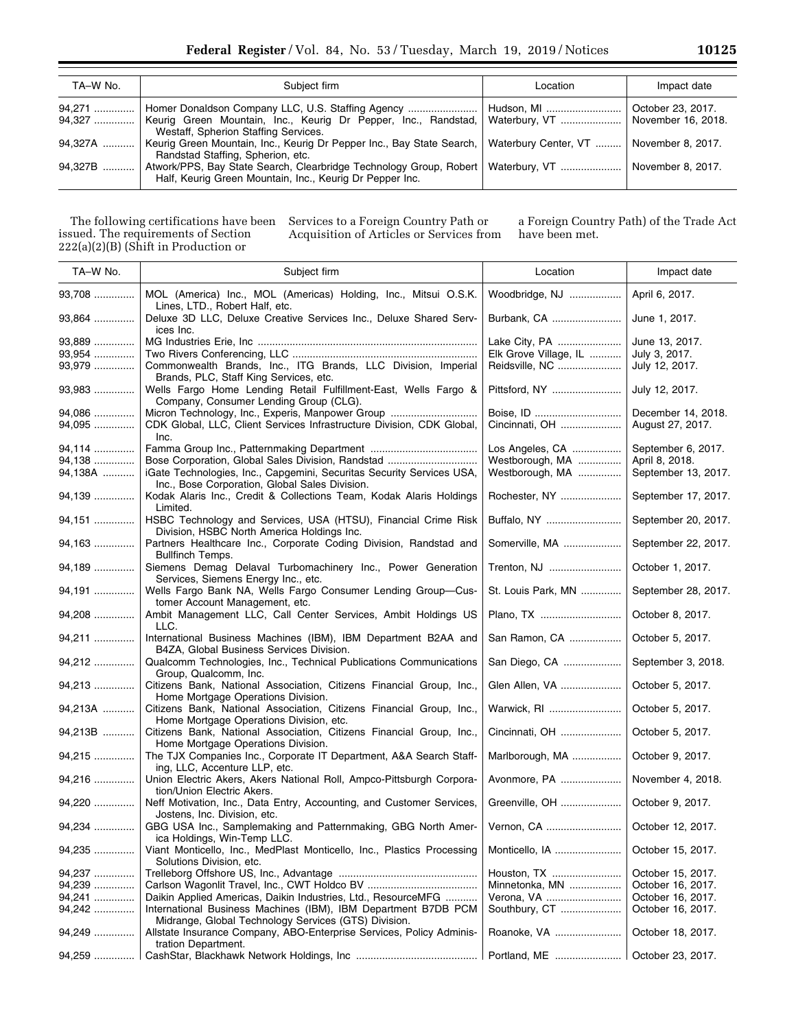| TA-W No.         | Subject firm                                                                                                                                   | Location                    | Impact date                             |
|------------------|------------------------------------------------------------------------------------------------------------------------------------------------|-----------------------------|-----------------------------------------|
| 94,271<br>94,327 | Keurig Green Mountain, Inc., Keurig Dr Pepper, Inc., Randstad,<br>Westaff, Spherion Staffing Services.                                         | Hudson, MI<br>Waterbury, VT | October 23, 2017.<br>November 16, 2018. |
| 94.327A          | Keurig Green Mountain, Inc., Keurig Dr Pepper Inc., Bay State Search,   Waterbury Center, VT<br>Randstad Staffing, Spherion, etc.              |                             | November 8, 2017.                       |
| 94.327B          | Atwork/PPS, Bay State Search, Clearbridge Technology Group, Robert   Waterbury, VT<br>Half, Keurig Green Mountain, Inc., Keurig Dr Pepper Inc. |                             | November 8, 2017.                       |

The following certifications have been issued. The requirements of Section 222(a)(2)(B) (Shift in Production or

Services to a Foreign Country Path or Acquisition of Articles or Services from a Foreign Country Path) of the Trade Act have been met.

| TA-W No.                   | Subject firm                                                                                                                      | Location                                                 | Impact date                                       |
|----------------------------|-----------------------------------------------------------------------------------------------------------------------------------|----------------------------------------------------------|---------------------------------------------------|
| 93,708                     | MOL (America) Inc., MOL (Americas) Holding, Inc., Mitsui O.S.K.<br>Lines, LTD., Robert Half, etc.                                 | Woodbridge, NJ                                           | April 6, 2017.                                    |
| 93,864                     | Deluxe 3D LLC, Deluxe Creative Services Inc., Deluxe Shared Serv-<br>ices Inc.                                                    | Burbank, CA                                              | June 1, 2017.                                     |
| 93,889<br>93,954<br>93,979 | Commonwealth Brands, Inc., ITG Brands, LLC Division, Imperial<br>Brands, PLC, Staff King Services, etc.                           | Lake City, PA<br>Elk Grove Village, IL<br>Reidsville, NC | June 13, 2017.<br>July 3, 2017.<br>July 12, 2017. |
| 93,983                     | Wells Fargo Home Lending Retail Fulfillment-East, Wells Fargo &<br>Company, Consumer Lending Group (CLG).                         | Pittsford, NY                                            | July 12, 2017.                                    |
| 94,086<br>94,095           | Micron Technology, Inc., Experis, Manpower Group<br>CDK Global, LLC, Client Services Infrastructure Division, CDK Global,<br>Inc. | Boise, ID<br>Cincinnati, OH                              | December 14, 2018.<br>August 27, 2017.            |
| 94,114                     |                                                                                                                                   | Los Angeles, CA                                          | September 6, 2017.                                |
| 94,138                     | Bose Corporation, Global Sales Division, Randstad                                                                                 | Westborough, MA                                          | April 8, 2018.                                    |
| 94,138A                    | iGate Technologies, Inc., Capgemini, Securitas Security Services USA,<br>Inc., Bose Corporation, Global Sales Division.           | Westborough, MA                                          | September 13, 2017.                               |
| 94,139                     | Kodak Alaris Inc., Credit & Collections Team, Kodak Alaris Holdings<br>Limited.                                                   | Rochester, NY                                            | September 17, 2017.                               |
| 94,151                     | HSBC Technology and Services, USA (HTSU), Financial Crime Risk<br>Division, HSBC North America Holdings Inc.                      | Buffalo, NY                                              | September 20, 2017.                               |
| 94,163                     | Partners Healthcare Inc., Corporate Coding Division, Randstad and<br><b>Bullfinch Temps.</b>                                      | Somerville, MA                                           | September 22, 2017.                               |
| 94,189                     | Siemens Demag Delaval Turbomachinery Inc., Power Generation<br>Services, Siemens Energy Inc., etc.                                | Trenton, NJ                                              | October 1, 2017.                                  |
| 94,191                     | Wells Fargo Bank NA, Wells Fargo Consumer Lending Group-Cus-<br>tomer Account Management, etc.                                    | St. Louis Park, MN                                       | September 28, 2017.                               |
| 94,208                     | Ambit Management LLC, Call Center Services, Ambit Holdings US<br>LLC.                                                             | Plano, TX                                                | October 8, 2017.                                  |
| 94,211                     | International Business Machines (IBM), IBM Department B2AA and<br>B4ZA, Global Business Services Division.                        | San Ramon, CA                                            | October 5, 2017.                                  |
| 94,212                     | Qualcomm Technologies, Inc., Technical Publications Communications<br>Group, Qualcomm, Inc.                                       | San Diego, CA                                            | September 3, 2018.                                |
| 94,213                     | Citizens Bank, National Association, Citizens Financial Group, Inc.,<br>Home Mortgage Operations Division.                        | Glen Allen, VA                                           | October 5, 2017.                                  |
| 94,213A                    | Citizens Bank, National Association, Citizens Financial Group, Inc.,<br>Home Mortgage Operations Division, etc.                   | Warwick, RI                                              | October 5, 2017.                                  |
| 94,213B                    | Citizens Bank, National Association, Citizens Financial Group, Inc.,<br>Home Mortgage Operations Division.                        | Cincinnati, OH                                           | October 5, 2017.                                  |
| 94,215                     | The TJX Companies Inc., Corporate IT Department, A&A Search Staff-<br>ing, LLC, Accenture LLP, etc.                               | Marlborough, MA                                          | October 9, 2017.                                  |
| 94,216                     | Union Electric Akers, Akers National Roll, Ampco-Pittsburgh Corpora-<br>tion/Union Electric Akers.                                | Avonmore, PA                                             | November 4, 2018.                                 |
| 94,220                     | Neff Motivation, Inc., Data Entry, Accounting, and Customer Services,<br>Jostens, Inc. Division, etc.                             | Greenville, OH                                           | October 9, 2017.                                  |
| 94,234                     | GBG USA Inc., Samplemaking and Patternmaking, GBG North Amer-<br>ica Holdings, Win-Temp LLC.                                      |                                                          | October 12, 2017.                                 |
| 94,235                     | Viant Monticello, Inc., MedPlast Monticello, Inc., Plastics Processing<br>Solutions Division, etc.                                | Monticello, IA                                           | October 15, 2017.                                 |
| 94,237                     |                                                                                                                                   | Houston, TX                                              | October 15, 2017.                                 |
| 94,239                     |                                                                                                                                   | Minnetonka, MN                                           | October 16, 2017.                                 |
| 94,241                     | Daikin Applied Americas, Daikin Industries, Ltd., ResourceMFG                                                                     | Verona, VA                                               | October 16, 2017.                                 |
| 94,242                     | International Business Machines (IBM), IBM Department B7DB PCM<br>Midrange, Global Technology Services (GTS) Division.            | Southbury, CT                                            | October 16, 2017.                                 |
| 94,249                     | Allstate Insurance Company, ABO-Enterprise Services, Policy Adminis-<br>tration Department.                                       | Roanoke, VA                                              | October 18, 2017.                                 |
| 94,259                     |                                                                                                                                   | Portland, ME                                             | October 23, 2017.                                 |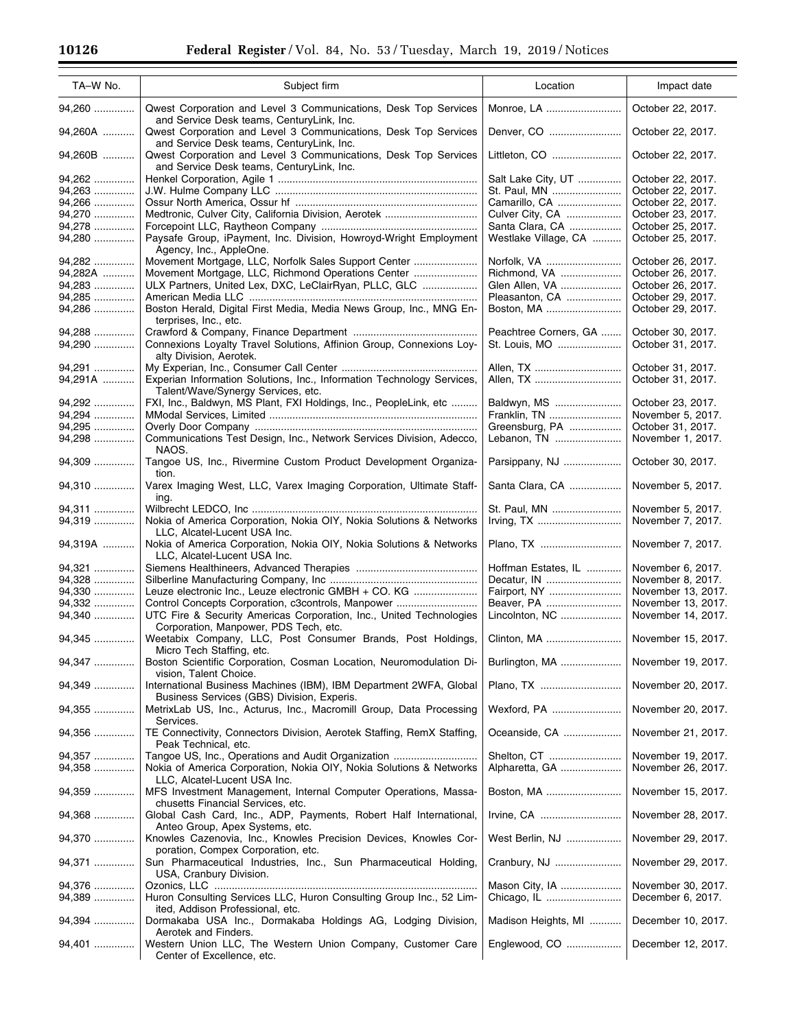| TA-W No.         | Subject firm                                                                                                                                               | Location                         | Impact date                              |
|------------------|------------------------------------------------------------------------------------------------------------------------------------------------------------|----------------------------------|------------------------------------------|
| 94,260           | Qwest Corporation and Level 3 Communications, Desk Top Services                                                                                            | Monroe, LA                       | October 22, 2017.                        |
| 94,260A          | and Service Desk teams, CenturyLink, Inc.<br>Qwest Corporation and Level 3 Communications, Desk Top Services<br>and Service Desk teams, CenturyLink, Inc.  | Denver, CO                       | October 22, 2017.                        |
| 94,260B          | Qwest Corporation and Level 3 Communications, Desk Top Services<br>and Service Desk teams, CenturyLink, Inc.                                               | Littleton, CO                    | October 22, 2017.                        |
| 94,262           |                                                                                                                                                            | Salt Lake City, UT               | October 22, 2017.                        |
| 94,263           |                                                                                                                                                            | St. Paul, MN                     | October 22, 2017.                        |
| 94,266<br>94,270 |                                                                                                                                                            | Camarillo, CA<br>Culver City, CA | October 22, 2017.<br>October 23, 2017.   |
| 94,278           |                                                                                                                                                            | Santa Clara, CA                  | October 25, 2017.                        |
| 94,280           | Paysafe Group, iPayment, Inc. Division, Howroyd-Wright Employment                                                                                          | Westlake Village, CA             | October 25, 2017.                        |
|                  | Agency, Inc., AppleOne.                                                                                                                                    |                                  |                                          |
| 94,282           | Movement Mortgage, LLC, Norfolk Sales Support Center                                                                                                       | Norfolk, VA                      | October 26, 2017.                        |
| 94,282A          |                                                                                                                                                            | Richmond, VA                     | October 26, 2017.                        |
| 94,283           | ULX Partners, United Lex, DXC, LeClairRyan, PLLC, GLC                                                                                                      | Glen Allen, VA                   | October 26, 2017.                        |
| 94,285           |                                                                                                                                                            | Pleasanton, CA                   | October 29, 2017.                        |
| 94,286           | Boston Herald, Digital First Media, Media News Group, Inc., MNG En-<br>terprises, Inc., etc.                                                               | Boston, MA                       | October 29, 2017.                        |
| 94.288           |                                                                                                                                                            | Peachtree Corners, GA            | October 30, 2017.                        |
| 94,290           | Connexions Loyalty Travel Solutions, Affinion Group, Connexions Loy-<br>alty Division, Aerotek.                                                            | St. Louis, MO                    | October 31, 2017.                        |
| 94,291           |                                                                                                                                                            | Allen, TX                        | October 31, 2017.                        |
| 94,291A          | Experian Information Solutions, Inc., Information Technology Services,<br>Talent/Wave/Synergy Services, etc.                                               | Allen, TX                        | October 31, 2017.                        |
| 94,292           | FXI, Inc., Baldwyn, MS Plant, FXI Holdings, Inc., PeopleLink, etc                                                                                          | Baldwyn, MS                      | October 23, 2017.                        |
| 94,294           |                                                                                                                                                            | Franklin, TN                     | November 5, 2017.                        |
| 94,295           |                                                                                                                                                            | Greensburg, PA                   | October 31, 2017.                        |
| 94,298           | Communications Test Design, Inc., Network Services Division, Adecco,<br>NAOS.                                                                              | Lebanon, TN                      | November 1, 2017.                        |
| 94,309           | Tangoe US, Inc., Rivermine Custom Product Development Organiza-<br>tion.                                                                                   | Parsippany, NJ                   | October 30, 2017.                        |
| 94,310           | Varex Imaging West, LLC, Varex Imaging Corporation, Ultimate Staff-<br>ing.                                                                                | Santa Clara, CA                  | November 5, 2017.                        |
| 94,311<br>94,319 | Nokia of America Corporation, Nokia OIY, Nokia Solutions & Networks                                                                                        | St. Paul, MN                     | November 5, 2017.<br>November 7, 2017.   |
|                  | LLC, Alcatel-Lucent USA Inc.                                                                                                                               |                                  |                                          |
| 94,319A          | Nokia of America Corporation, Nokia OIY, Nokia Solutions & Networks<br>LLC, Alcatel-Lucent USA Inc.                                                        | Plano, TX                        | November 7, 2017.                        |
| 94,321           |                                                                                                                                                            | Hoffman Estates, IL              | November 6, 2017.                        |
| 94,328           |                                                                                                                                                            | Decatur, IN                      | November 8, 2017.                        |
| 94,330           | Leuze electronic Inc., Leuze electronic GMBH + CO. KG                                                                                                      | Fairport, NY                     | November 13, 2017.                       |
| 94,332           | Control Concepts Corporation, c3controls, Manpower                                                                                                         | Beaver, PA                       | November 13, 2017.                       |
| 94,340           | UTC Fire & Security Americas Corporation, Inc., United Technologies<br>Corporation, Manpower, PDS Tech, etc.                                               | Lincolnton, NC                   | November 14, 2017.                       |
| 94,345           | Weetabix Company, LLC, Post Consumer Brands, Post Holdings,<br>Micro Tech Staffing, etc.                                                                   | Clinton, MA                      | November 15, 2017.                       |
| 94,347           | Boston Scientific Corporation, Cosman Location, Neuromodulation Di-<br>vision, Talent Choice.                                                              | Burlington, MA                   | November 19, 2017.                       |
| 94,349           | International Business Machines (IBM), IBM Department 2WFA, Global<br>Business Services (GBS) Division, Experis.                                           | Plano, TX                        | November 20, 2017.                       |
| 94,355<br>94,356 | MetrixLab US, Inc., Acturus, Inc., Macromill Group, Data Processing<br>Services.<br>TE Connectivity, Connectors Division, Aerotek Staffing, RemX Staffing, | Wexford, PA<br>Oceanside, CA     | November 20, 2017.<br>November 21, 2017. |
|                  | Peak Technical, etc.                                                                                                                                       |                                  |                                          |
| 94,357           | Tangoe US, Inc., Operations and Audit Organization                                                                                                         | Shelton, CT                      | November 19, 2017.                       |
| 94,358           | Nokia of America Corporation, Nokia OIY, Nokia Solutions & Networks                                                                                        | Alpharetta, GA                   | November 26, 2017.                       |
| 94,359           | LLC, Alcatel-Lucent USA Inc.<br>MFS Investment Management, Internal Computer Operations, Massa-                                                            | Boston, MA                       | November 15, 2017.                       |
| 94,368           | chusetts Financial Services, etc.<br>Global Cash Card, Inc., ADP, Payments, Robert Half International,                                                     | Irvine, CA                       | November 28, 2017.                       |
| 94,370           | Anteo Group, Apex Systems, etc.<br>Knowles Cazenovia, Inc., Knowles Precision Devices, Knowles Cor-                                                        | West Berlin, NJ                  | November 29, 2017.                       |
| 94,371           | poration, Compex Corporation, etc.<br>Sun Pharmaceutical Industries, Inc., Sun Pharmaceutical Holding,<br>USA, Cranbury Division.                          | Cranbury, NJ                     | November 29, 2017.                       |
| 94,376           |                                                                                                                                                            | Mason City, IA                   | November 30, 2017.                       |
| 94,389           | Huron Consulting Services LLC, Huron Consulting Group Inc., 52 Lim-                                                                                        | Chicago, IL                      | December 6, 2017.                        |
| 94,394           | ited, Addison Professional, etc.<br>Dormakaba USA Inc., Dormakaba Holdings AG, Lodging Division,                                                           | Madison Heights, MI              | December 10, 2017.                       |
| 94,401           | Aerotek and Finders.<br>Western Union LLC, The Western Union Company, Customer Care                                                                        | Englewood, CO                    | December 12, 2017.                       |
|                  | Center of Excellence, etc.                                                                                                                                 |                                  |                                          |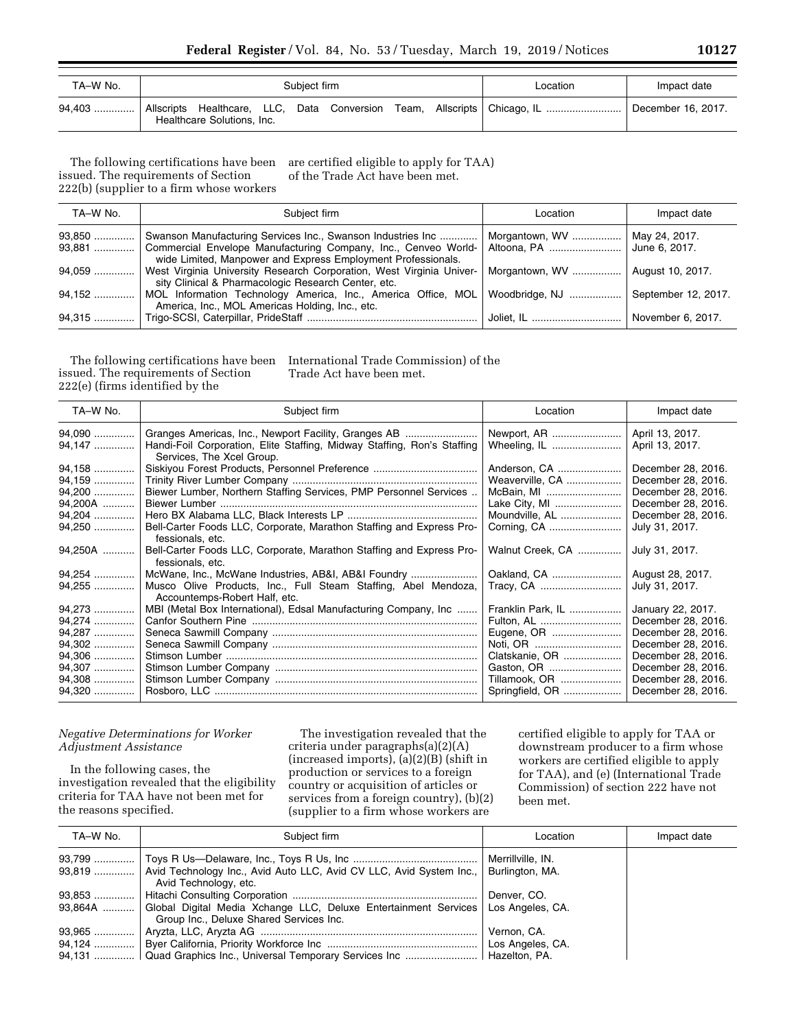| TA-W No. |                            | Subiect firm |  | Location                                                                   | Impact date        |
|----------|----------------------------|--------------|--|----------------------------------------------------------------------------|--------------------|
| 94,403   | Healthcare Solutions, Inc. |              |  | Allscripts Healthcare, LLC, Data Conversion Team, Allscripts   Chicago, IL | December 16, 2017. |

The following certifications have been issued. The requirements of Section 222(b) (supplier to a firm whose workers are certified eligible to apply for TAA) of the Trade Act have been met.

| TA-W No. | Subject firm                                                                                                                      | Location       | Impact date         |
|----------|-----------------------------------------------------------------------------------------------------------------------------------|----------------|---------------------|
| 93,850   | Swanson Manufacturing Services Inc., Swanson Industries Inc                                                                       | Morgantown, WV | May 24, 2017.       |
| 93,881   | Commercial Envelope Manufacturing Company, Inc., Cenveo World-<br>wide Limited, Manpower and Express Employment Professionals.    | Altoona, PA    | June 6, 2017.       |
| $94.059$ | West Virginia University Research Corporation, West Virginia Univer-<br>sity Clinical & Pharmacologic Research Center, etc.       | Morgantown, WV | August 10, 2017.    |
| 94,152   | MOL Information Technology America, Inc., America Office, MOL   Woodbridge, NJ<br>America, Inc., MOL Americas Holding, Inc., etc. |                | September 12, 2017. |
| 94,315   |                                                                                                                                   | Joliet, IL     | November 6, 2017.   |

The following certifications have been issued. The requirements of Section 222(e) (firms identified by the

International Trade Commission) of the Trade Act have been met.

| TA-W No.                                                                     | Subject firm                                                                                                                                                 | Location                                                                                                                      | Impact date                                                                                                                                                                 |
|------------------------------------------------------------------------------|--------------------------------------------------------------------------------------------------------------------------------------------------------------|-------------------------------------------------------------------------------------------------------------------------------|-----------------------------------------------------------------------------------------------------------------------------------------------------------------------------|
| 94,090<br>94,147                                                             | Granges Americas, Inc., Newport Facility, Granges AB<br>Handi-Foil Corporation, Elite Staffing, Midway Staffing, Ron's Staffing<br>Services, The Xcel Group. | Newport, AR<br>Wheeling, IL                                                                                                   | April 13, 2017.<br>April 13, 2017.                                                                                                                                          |
| 94,158<br>94,159<br>94,200<br>94,200A                                        | Siskiyou Forest Products, Personnel Preference<br>Biewer Lumber, Northern Staffing Services, PMP Personnel Services                                          | Anderson, CA<br>Weaverville, CA<br>McBain, MI<br>Lake City, MI                                                                | December 28, 2016.<br>December 28, 2016.<br>December 28, 2016.<br>December 28, 2016.                                                                                        |
| 94,204<br>94,250                                                             | Bell-Carter Foods LLC, Corporate, Marathon Staffing and Express Pro-<br>fessionals, etc.                                                                     | Moundville, AL<br>Corning, CA                                                                                                 | December 28, 2016.<br>July 31, 2017.                                                                                                                                        |
| 94,250A                                                                      | Bell-Carter Foods LLC, Corporate, Marathon Staffing and Express Pro-<br>fessionals, etc.                                                                     | Walnut Creek, CA                                                                                                              | July 31, 2017.                                                                                                                                                              |
| 94,254<br>94,255                                                             | McWane, Inc., McWane Industries, AB&I, AB&I Foundry<br>Musco Olive Products, Inc., Full Steam Staffing, Abel Mendoza,<br>Accountemps-Robert Half, etc.       | Oakland, CA<br>Tracy, CA                                                                                                      | August 28, 2017.<br>July 31, 2017.                                                                                                                                          |
| 94,273<br>94,274<br>94,287<br>94,302<br>94,306<br>94,307<br>94,308<br>94,320 | MBI (Metal Box International), Edsal Manufacturing Company, Inc                                                                                              | Franklin Park, IL<br>Fulton, AL<br>Eugene, OR<br>Noti, OR<br>Clatskanie, OR<br>Gaston, OR<br>Tillamook, OR<br>Springfield, OR | January 22, 2017.<br>December 28, 2016.<br>December 28, 2016.<br>December 28, 2016.<br>December 28, 2016.<br>December 28, 2016.<br>December 28, 2016.<br>December 28, 2016. |

## *Negative Determinations for Worker Adjustment Assistance*

In the following cases, the investigation revealed that the eligibility criteria for TAA have not been met for the reasons specified.

The investigation revealed that the criteria under paragraphs(a)(2)(A)  $(increased\ imports), (a)(2)(B)$  (shift in production or services to a foreign country or acquisition of articles or services from a foreign country), (b)(2) (supplier to a firm whose workers are

certified eligible to apply for TAA or downstream producer to a firm whose workers are certified eligible to apply for TAA), and (e) (International Trade Commission) of section 222 have not been met.

| TA-W No. | Subject firm                                                                                                                         | Location    | Impact date |
|----------|--------------------------------------------------------------------------------------------------------------------------------------|-------------|-------------|
|          |                                                                                                                                      |             |             |
|          | 93,819    Avid Technology Inc., Avid Auto LLC, Avid CV LLC, Avid System Inc.,   Burlington, MA.<br>Avid Technology, etc.             |             |             |
|          |                                                                                                                                      |             |             |
|          | 93,864A  Global Digital Media Xchange LLC, Deluxe Entertainment Services Los Angeles, CA.<br>Group Inc., Deluxe Shared Services Inc. |             |             |
|          |                                                                                                                                      | Vernon, CA. |             |
|          |                                                                                                                                      |             |             |
|          | 94,131    Quad Graphics Inc., Universal Temporary Services Inc    Hazelton, PA.                                                      |             |             |